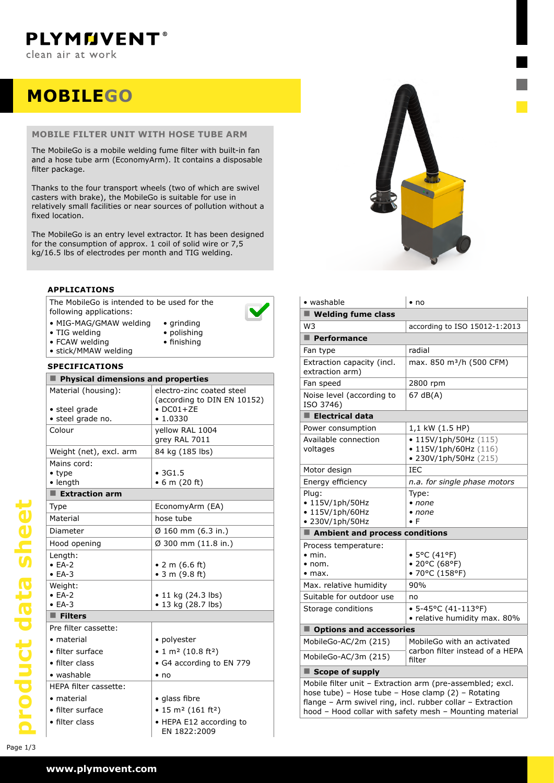# **MOBILEgo**

#### **mobile filter unit with hose tube arm**

The MobileGo is a mobile welding fume filter with built-in fan and a hose tube arm (EconomyArm). It contains a disposable filter package.

Thanks to the four transport wheels (two of which are swivel casters with brake), the MobileGo is suitable for use in relatively small facilities or near sources of pollution without a fixed location.

The MobileGo is an entry level extractor. It has been designed for the consumption of approx. 1 coil of solid wire or 7,5 kg/16.5 lbs of electrodes per month and TIG welding.

### **applications**

The MobileGo is intended to be used for the following applications:



- MIG-MAG/GMAW welding • TIG welding
- • grinding • polishing • finishing
- FCAW welding • stick/MMAW welding
	-

#### **specifications**

| Physical dimensions and properties |                                                          |  |  |  |
|------------------------------------|----------------------------------------------------------|--|--|--|
| Material (housing):                | electro-zinc coated steel<br>(according to DIN EN 10152) |  |  |  |
| • steel grade                      | $\bullet$ DC01+ZE                                        |  |  |  |
| · steel grade no.                  | • 1.0330                                                 |  |  |  |
| Colour                             | yellow RAL 1004<br>grey RAL 7011                         |  |  |  |
| Weight (net), excl. arm            | 84 kg (185 lbs)                                          |  |  |  |
| Mains cord:                        |                                                          |  |  |  |
| $\bullet$ type                     | •3G1.5                                                   |  |  |  |
| • length                           | $\bullet$ 6 m (20 ft)                                    |  |  |  |
| $\blacksquare$ Extraction arm      |                                                          |  |  |  |
| Type                               | EconomyArm (EA)                                          |  |  |  |
| Material                           | hose tube                                                |  |  |  |
| Diameter                           | Ø 160 mm (6.3 in.)                                       |  |  |  |
| Hood opening                       | Ø 300 mm (11.8 in.)                                      |  |  |  |
| Length:                            |                                                          |  |  |  |
| $\bullet$ EA-2                     | • 2 m $(6.6 \text{ ft})$                                 |  |  |  |
| $\bullet$ EA-3                     | $\bullet$ 3 m (9.8 ft)                                   |  |  |  |
| Weight:                            |                                                          |  |  |  |
| $\bullet$ EA-2                     | • 11 kg $(24.3$ lbs)                                     |  |  |  |
| $\bullet$ EA-3                     | • 13 kg (28.7 lbs)                                       |  |  |  |
| $\blacksquare$ Filters             |                                                          |  |  |  |
| Pre filter cassette:               |                                                          |  |  |  |
| • material                         | • polyester                                              |  |  |  |
| • filter surface                   | • 1 m <sup>2</sup> (10.8 ft <sup>2</sup> )               |  |  |  |
| $\bullet$ filter class             | • G4 according to EN 779                                 |  |  |  |
| • washable                         | $\bullet$ no                                             |  |  |  |
| HEPA filter cassette:              |                                                          |  |  |  |
| • material                         | • glass fibre                                            |  |  |  |
| • filter surface                   | $\bullet$ 15 m <sup>2</sup> (161 ft <sup>2</sup> )       |  |  |  |
| • filter class                     | • HEPA E12 according to<br>EN 1822:2009                  |  |  |  |



| • washable                                                                                                                                                                                                                               | $\cdot$ no                                                                                      |  |  |  |
|------------------------------------------------------------------------------------------------------------------------------------------------------------------------------------------------------------------------------------------|-------------------------------------------------------------------------------------------------|--|--|--|
| ■ Welding fume class                                                                                                                                                                                                                     |                                                                                                 |  |  |  |
| W3                                                                                                                                                                                                                                       | according to ISO 15012-1:2013                                                                   |  |  |  |
| $\blacksquare$ Performance                                                                                                                                                                                                               |                                                                                                 |  |  |  |
| Fan type                                                                                                                                                                                                                                 | radial                                                                                          |  |  |  |
| Extraction capacity (incl.<br>extraction arm)                                                                                                                                                                                            | max. 850 m <sup>3</sup> /h (500 CFM)                                                            |  |  |  |
| Fan speed                                                                                                                                                                                                                                | 2800 rpm                                                                                        |  |  |  |
| Noise level (according to<br>ISO 3746)                                                                                                                                                                                                   | 67 dB(A)                                                                                        |  |  |  |
| $\blacksquare$ Electrical data                                                                                                                                                                                                           |                                                                                                 |  |  |  |
| Power consumption                                                                                                                                                                                                                        | 1,1 kW (1.5 HP)                                                                                 |  |  |  |
| Available connection<br>voltages                                                                                                                                                                                                         | $\bullet$ 115V/1ph/50Hz (115)<br>$\bullet$ 115V/1ph/60Hz (116)<br>$\bullet$ 230V/1ph/50Hz (215) |  |  |  |
| Motor design                                                                                                                                                                                                                             | <b>IEC</b>                                                                                      |  |  |  |
| Energy efficiency                                                                                                                                                                                                                        | n.a. for single phase motors                                                                    |  |  |  |
| Plug:<br>• 115V/1ph/50Hz<br>$\cdot$ 115V/1ph/60Hz<br>• 230V/1ph/50Hz                                                                                                                                                                     | Type:<br>• none<br>$\bullet$ none<br>$\bullet$ F                                                |  |  |  |
| Ambient and process conditions                                                                                                                                                                                                           |                                                                                                 |  |  |  |
| Process temperature:<br>$\bullet$ min.<br>$\bullet$ nom.<br>$\bullet$ max.                                                                                                                                                               | • 5°C (41°F)<br>• 20°C (68°F)<br>• 70°C (158°F)                                                 |  |  |  |
| Max. relative humidity                                                                                                                                                                                                                   | 90%                                                                                             |  |  |  |
| Suitable for outdoor use                                                                                                                                                                                                                 | no                                                                                              |  |  |  |
| Storage conditions                                                                                                                                                                                                                       | $\bullet$ 5-45°C (41-113°F)<br>· relative humidity max. 80%                                     |  |  |  |
| Options and accessories                                                                                                                                                                                                                  |                                                                                                 |  |  |  |
| MobileGo-AC/2m (215)                                                                                                                                                                                                                     | MobileGo with an activated                                                                      |  |  |  |
| MobileGo-AC/3m (215)                                                                                                                                                                                                                     | carbon filter instead of a HEPA<br>filter                                                       |  |  |  |
| $\blacksquare$ Scope of supply                                                                                                                                                                                                           |                                                                                                 |  |  |  |
| Mobile filter unit - Extraction arm (pre-assembled; excl.<br>hose tube) - Hose tube - Hose clamp (2) - Rotating<br>flange - Arm swivel ring, incl. rubber collar - Extraction<br>hood - Hood collar with safety mesh - Mounting material |                                                                                                 |  |  |  |

product data sheet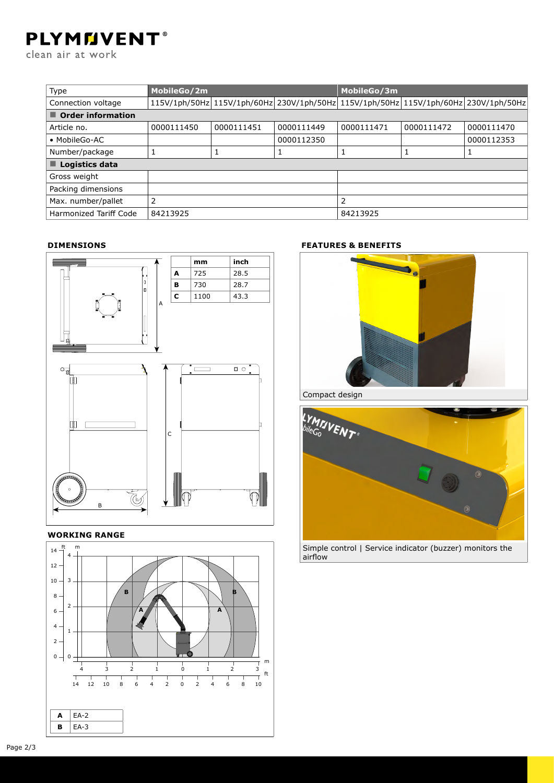## **PLYMMVENT®**

clean air at work

| Type                             | MobileGo/2m |            | MobileGo/3m                                                                         |            |            |            |  |
|----------------------------------|-------------|------------|-------------------------------------------------------------------------------------|------------|------------|------------|--|
| Connection voltage               |             |            | 115V/1ph/50Hz 115V/1ph/60Hz 230V/1ph/50Hz 115V/1ph/50Hz 115V/1ph/60Hz 230V/1ph/50Hz |            |            |            |  |
| $\blacksquare$ Order information |             |            |                                                                                     |            |            |            |  |
| Article no.                      | 0000111450  | 0000111451 | 0000111449                                                                          | 0000111471 | 0000111472 | 0000111470 |  |
| • MobileGo-AC                    |             |            | 0000112350                                                                          |            |            | 0000112353 |  |
| Number/package                   |             |            |                                                                                     | 1          |            |            |  |
| $\blacksquare$ Logistics data    |             |            |                                                                                     |            |            |            |  |
| Gross weight                     |             |            |                                                                                     |            |            |            |  |
| Packing dimensions               |             |            |                                                                                     |            |            |            |  |
| Max. number/pallet               | 2           |            |                                                                                     | 2          |            |            |  |
| Harmonized Tariff Code           | 84213925    |            |                                                                                     | 84213925   |            |            |  |

### **Dimensions**



#### **Working range**



### **features & benefits**



Compact design